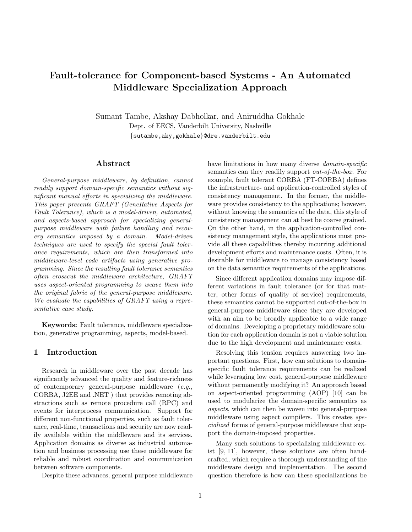# Fault-tolerance for Component-based Systems - An Automated Middleware Specialization Approach

Sumant Tambe, Akshay Dabholkar, and Aniruddha Gokhale Dept. of EECS, Vanderbilt University, Nashville {sutambe,aky,gokhale}@dre.vanderbilt.edu

#### Abstract

General-purpose middleware, by definition, cannot readily support domain-specific semantics without significant manual efforts in specializing the middleware. This paper presents GRAFT (GeneRative Aspects for Fault Tolerance), which is a model-driven, automated, and aspects-based approach for specializing generalpurpose middleware with failure handling and recovery semantics imposed by a domain. Model-driven techniques are used to specify the special fault tolerance requirements, which are then transformed into middleware-level code artifacts using generative programming. Since the resulting fault tolerance semantics often crosscut the middleware architecture, GRAFT uses aspect-oriented programming to weave them into the original fabric of the general-purpose middleware. We evaluate the capabilities of GRAFT using a representative case study.

Keywords: Fault tolerance, middleware specialization, generative programming, aspects, model-based.

## 1 Introduction

Research in middleware over the past decade has significantly advanced the quality and feature-richness of contemporary general-purpose middleware (e.g., CORBA, J2EE and .NET ) that provides remoting abstractions such as remote procedure call (RPC) and events for interprocess communication. Support for different non-functional properties, such as fault tolerance, real-time, transactions and security are now readily available within the middleware and its services. Application domains as diverse as industrial automation and business processing use these middleware for reliable and robust coordination and communication between software components.

Despite these advances, general purpose middleware

have limitations in how many diverse *domain-specific* semantics can they readily support out-of-the-box. For example, fault tolerant CORBA (FT-CORBA) defines the infrastructure- and application-controlled styles of consistency management. In the former, the middleware provides consistency to the applications; however, without knowing the semantics of the data, this style of consistency management can at best be coarse grained. On the other hand, in the application-controlled consistency management style, the applications must provide all these capabilities thereby incurring additional development efforts and maintenance costs. Often, it is desirable for middleware to manage consistency based on the data semantics requirements of the applications.

Since different application domains may impose different variations in fault tolerance (or for that matter, other forms of quality of service) requirements, these semantics cannot be supported out-of-the-box in general-purpose middleware since they are developed with an aim to be broadly applicable to a wide range of domains. Developing a proprietary middleware solution for each application domain is not a viable solution due to the high development and maintenance costs.

Resolving this tension requires answering two important questions. First, how can solutions to domainspecific fault tolerance requirements can be realized while leveraging low cost, general-purpose middleware without permanently modifying it? An approach based on aspect-oriented programming (AOP) [10] can be used to modularize the domain-specific semantics as aspects, which can then be woven into general-purpose middleware using aspect compilers. This creates specialized forms of general-purpose middleware that support the domain-imposed properties.

Many such solutions to specializing middleware exist [9, 11], however, these solutions are often handcrafted, which require a thorough understanding of the middleware design and implementation. The second question therefore is how can these specializations be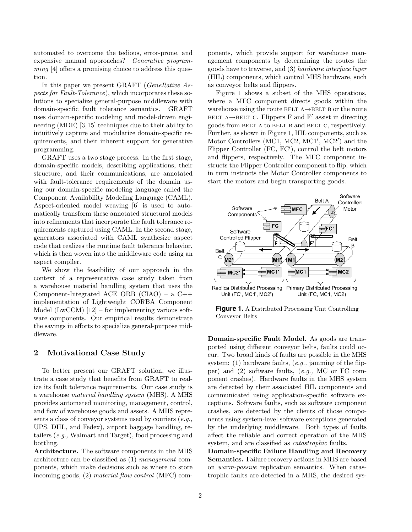automated to overcome the tedious, error-prone, and expensive manual approaches? Generative program $minq$  [4] offers a promising choice to address this question.

In this paper we present GRAFT (*GeneRative As*pects for Fault-Tolerance), which incorporates these solutions to specialize general-purpose middleware with domain-specific fault tolerance semantics. GRAFT uses domain-specific modeling and model-driven engineering (MDE) [3,15] techniques due to their ability to intuitively capture and modularize domain-specific requirements, and their inherent support for generative programming.

GRAFT uses a two stage process. In the first stage, domain-specific models, describing applications, their structure, and their communications, are annotated with fault-tolerance requirements of the domain using our domain-specific modeling language called the Component Availability Modeling Language (CAML). Aspect-oriented model weaving [6] is used to automatically transform these annotated structural models into refinements that incorporate the fault tolerance requirements captured using CAML. In the second stage, generators associated with CAML synthesize aspect code that realizes the runtime fault tolerance behavior, which is then woven into the middleware code using an aspect compiler.

We show the feasibility of our approach in the context of a representative case study taken from a warehouse material handling system that uses the Component-Integrated ACE ORB (CIAO) – a C++ implementation of Lightweight CORBA Component Model (LwCCM)  $[12]$  – for implementing various software components. Our empirical results demonstrate the savings in efforts to specialize general-purpose middleware.

## 2 Motivational Case Study

To better present our GRAFT solution, we illustrate a case study that benefits from GRAFT to realize its fault tolerance requirements. Our case study is a warehouse material handling system (MHS). A MHS provides automated monitoring, management, control, and flow of warehouse goods and assets. A MHS represents a class of conveyor systems used by couriers (e.g., UPS, DHL, and Fedex), airport baggage handling, retailers (e.g., Walmart and Target), food processing and bottling.

Architecture. The software components in the MHS architecture can be classified as (1) management components, which make decisions such as where to store incoming goods, (2) material flow control (MFC) components, which provide support for warehouse management components by determining the routes the goods have to traverse, and (3) hardware interface layer (HIL) components, which control MHS hardware, such as conveyor belts and flippers.

Figure 1 shows a subset of the MHS operations, where a MFC component directs goods within the warehouse using the route BELT A→BELT B or the route BELT A→BELT C. Flippers F and F' assist in directing goods from BELT A to BELT B and BELT C, respectively. Further, as shown in Figure 1, HIL components, such as Motor Controllers (MC1, MC2, MC1', MC2') and the Flipper Controller (FC, FC'), control the belt motors and flippers, respectively. The MFC component instructs the Flipper Controller component to flip, which in turn instructs the Motor Controller components to start the motors and begin transporting goods.



**Figure 1.** A Distributed Processing Unit Controlling Conveyor Belts

Domain-specific Fault Model. As goods are transported using different conveyor belts, faults could occur. Two broad kinds of faults are possible in the MHS system: (1) hardware faults,  $(e.g.,)$  jamming of the flipper) and (2) software faults, (e.g., MC or FC component crashes). Hardware faults in the MHS system are detected by their associated HIL components and communicated using application-specific software exceptions. Software faults, such as software component crashes, are detected by the clients of those components using system-level software exceptions generated by the underlying middleware. Both types of faults affect the reliable and correct operation of the MHS system, and are classified as catastrophic faults.

Domain-specific Failure Handling and Recovery Semantics. Failure recovery actions in MHS are based on warm-passive replication semantics. When catastrophic faults are detected in a MHS, the desired sys-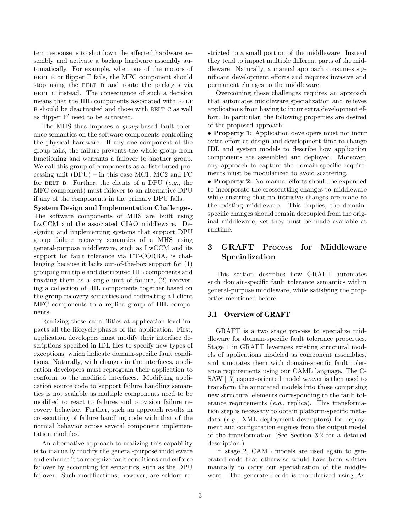tem response is to shutdown the affected hardware assembly and activate a backup hardware assembly automatically. For example, when one of the motors of BELT B or flipper F fails, the MFC component should stop using the BELT B and route the packages via belt c instead. The consequence of such a decision means that the HIL components associated with BELT B should be deactivated and those with BELT C as well as flipper  $F'$  need to be activated.

The MHS thus imposes a *group*-based fault tolerance semantics on the software components controlling the physical hardware. If any one component of the group fails, the failure prevents the whole group from functioning and warrants a failover to another group. We call this group of components as a distributed processing unit  $(DPU)$  – in this case MC1, MC2 and FC for BELT B. Further, the clients of a DPU (e.g., the MFC component) must failover to an alternative DPU if any of the components in the primary DPU fails.

System Design and Implementation Challenges. The software components of MHS are built using LwCCM and the associated CIAO middleware. Designing and implementing systems that support DPU group failure recovery semantics of a MHS using general-purpose middleware, such as LwCCM and its support for fault tolerance via FT-CORBA, is challenging because it lacks out-of-the-box support for (1) grouping multiple and distributed HIL components and treating them as a single unit of failure, (2) recovering a collection of HIL components together based on the group recovery semantics and redirecting all client MFC components to a replica group of HIL components.

Realizing these capabilities at application level impacts all the lifecycle phases of the application. First, application developers must modify their interface descriptions specified in IDL files to specify new types of exceptions, which indicate domain-specific fault conditions. Naturally, with changes in the interfaces, application developers must reprogram their application to conform to the modified interfaces. Modifying application source code to support failure handling semantics is not scalable as multiple components need to be modified to react to failures and provision failure recovery behavior. Further, such an approach results in crosscutting of failure handling code with that of the normal behavior across several component implementation modules.

An alternative approach to realizing this capability is to manually modify the general-purpose middleware and enhance it to recognize fault conditions and enforce failover by accounting for semantics, such as the DPU failover. Such modifications, however, are seldom restricted to a small portion of the middleware. Instead they tend to impact multiple different parts of the middleware. Naturally, a manual approach consumes significant development efforts and requires invasive and permanent changes to the middleware.

Overcoming these challenges requires an approach that automates middleware specialization and relieves applications from having to incur extra development effort. In particular, the following properties are desired of the proposed approach:

• **Property 1:** Application developers must not incur extra effort at design and development time to change IDL and system models to describe how application components are assembled and deployed. Moreover, any approach to capture the domain-specific requirements must be modularized to avoid scattering.

• Property 2: No manual efforts should be expended to incorporate the crosscutting changes to middleware while ensuring that no intrusive changes are made to the existing middleware. This implies, the domainspecific changes should remain decoupled from the original middleware, yet they must be made available at runtime.

# 3 GRAFT Process for Middleware Specialization

This section describes how GRAFT automates such domain-specific fault tolerance semantics within general-purpose middleware, while satisfying the properties mentioned before.

## 3.1 Overview of GRAFT

GRAFT is a two stage process to specialize middleware for domain-specific fault tolerance properties. Stage 1 in GRAFT leverages existing structural models of applications modeled as component assemblies, and annotates them with domain-specific fault tolerance requirements using our CAML language. The C-SAW [17] aspect-oriented model weaver is then used to transform the annotated models into those comprising new structural elements corresponding to the fault tolerance requirements (e.g., replica). This transformation step is necessary to obtain platform-specific metadata (e.g., XML deployment descriptors) for deployment and configuration engines from the output model of the transformation (See Section 3.2 for a detailed description.)

In stage 2, CAML models are used again to generated code that otherwise would have been written manually to carry out specialization of the middleware. The generated code is modularized using As-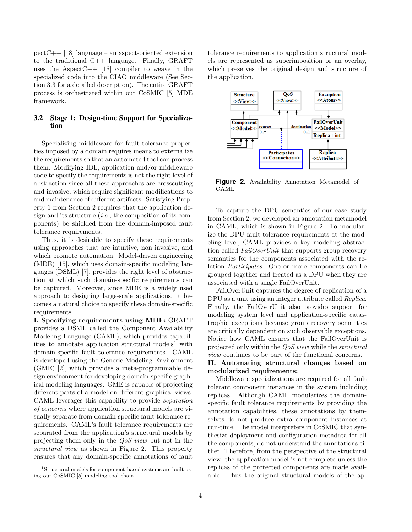$pectC++$  [18] language – an aspect-oriented extension to the traditional C++ language. Finally, GRAFT uses the AspectC++  $[18]$  compiler to weave in the specialized code into the CIAO middleware (See Section 3.3 for a detailed description). The entire GRAFT process is orchestrated within our CoSMIC [5] MDE framework.

# 3.2 Stage 1: Design-time Support for Specialization

Specializing middleware for fault tolerance properties imposed by a domain requires means to externalize the requirements so that an automated tool can process them. Modifying IDL, application and/or middleware code to specify the requirements is not the right level of abstraction since all these approaches are crosscutting and invasive, which require significant modifications to and maintenance of different artifacts. Satisfying Property 1 from Section 2 requires that the application design and its structure (i.e., the composition of its components) be shielded from the domain-imposed fault tolerance requirements.

Thus, it is desirable to specify these requirements using approaches that are intuitive, non invasive, and which promote automation. Model-driven engineering (MDE) [15], which uses domain-specific modeling languages (DSML) [7], provides the right level of abstraction at which such domain-specific requirements can be captured. Moreover, since MDE is a widely used approach to designing large-scale applications, it becomes a natural choice to specify these domain-specific requirements.

I. Specifying requirements using MDE: GRAFT provides a DSML called the Component Availability Modeling Language (CAML), which provides capabilities to annotate application structural models<sup>1</sup> with domain-specific fault tolerance requirements. CAML is developed using the Generic Modeling Environment (GME) [2], which provides a meta-programmable design environment for developing domain-specific graphical modeling languages. GME is capable of projecting different parts of a model on different graphical views. CAML leverages this capability to provide separation of concerns where application structural models are visually separate from domain-specific fault tolerance requirements. CAML's fault tolerance requirements are separated from the application's structural models by projecting them only in the QoS view but not in the structural view as shown in Figure 2. This property ensures that any domain-specific annotations of fault

<sup>1</sup>Structural models for component-based systems are built using our CoSMIC [5] modeling tool chain.

tolerance requirements to application structural models are represented as superimposition or an overlay, which preserves the original design and structure of the application.



**Figure 2.** Availability Annotation Metamodel of CAML

To capture the DPU semantics of our case study from Section 2, we developed an annotation metamodel in CAML, which is shown in Figure 2. To modularize the DPU fault-tolerance requirements at the modeling level, CAML provides a key modeling abstraction called *FailOverUnit* that supports group recovery semantics for the components associated with the relation Participates. One or more components can be grouped together and treated as a DPU when they are associated with a single FailOverUnit.

FailOverUnit captures the degree of replication of a DPU as a unit using an integer attribute called Replica. Finally, the FailOverUnit also provides support for modeling system level and application-specific catastrophic exceptions because group recovery semantics are critically dependent on such observable exceptions. Notice how CAML ensures that the FailOverUnit is projected only within the QoS view while the structural view continues to be part of the functional concerns.

# II. Automating structural changes based on modularized requirements:

Middleware specializations are required for all fault tolerant component instances in the system including replicas. Although CAML modularizes the domainspecific fault tolerance requirements by providing the annotation capabilities, these annotations by themselves do not produce extra component instances at run-time. The model interpreters in CoSMIC that synthesize deployment and configuration metadata for all the components, do not understand the annotations either. Therefore, from the perspective of the structural view, the application model is not complete unless the replicas of the protected components are made available. Thus the original structural models of the ap-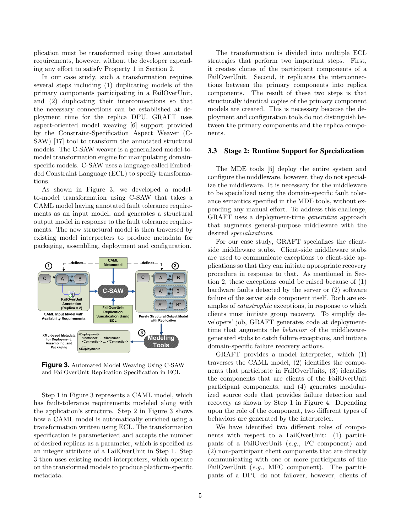plication must be transformed using these annotated requirements, however, without the developer expending any effort to satisfy Property 1 in Section 2.

In our case study, such a transformation requires several steps including (1) duplicating models of the primary components participating in a FailOverUnit, and (2) duplicating their interconnections so that the necessary connections can be established at deployment time for the replica DPU. GRAFT uses aspect-oriented model weaving [6] support provided by the Constraint-Specification Aspect Weaver (C-SAW) [17] tool to transform the annotated structural models. The C-SAW weaver is a generalized model-tomodel transformation engine for manipulating domainspecific models. C-SAW uses a language called Embedded Constraint Language (ECL) to specify transformations.

As shown in Figure 3, we developed a modelto-model transformation using C-SAW that takes a CAML model having annotated fault tolerance requirements as an input model, and generates a structural output model in response to the fault tolerance requirements. The new structural model is then traversed by existing model interpreters to produce metadata for packaging, assembling, deployment and configuration.



**Figure 3.** Automated Model Weaving Using C-SAW and FailOverUnit Replication Specification in ECL

Step 1 in Figure 3 represents a CAML model, which has fault-tolerance requirements modeled along with the application's structure. Step 2 in Figure 3 shows how a CAML model is automatically enriched using a transformation written using ECL. The transformation specification is parameterized and accepts the number of desired replicas as a parameter, which is specified as an integer attribute of a FailOverUnit in Step 1. Step 3 then uses existing model interpreters, which operate on the transformed models to produce platform-specific metadata.

The transformation is divided into multiple ECL strategies that perform two important steps. First, it creates clones of the participant components of a FailOverUnit. Second, it replicates the interconnections between the primary components into replica components. The result of these two steps is that structurally identical copies of the primary component models are created. This is necessary because the deployment and configuration tools do not distinguish between the primary components and the replica components.

## 3.3 Stage 2: Runtime Support for Specialization

The MDE tools [5] deploy the entire system and configure the middleware, however, they do not specialize the middleware. It is necessary for the middleware to be specialized using the domain-specific fault tolerance semantics specified in the MDE tools, without expending any manual effort. To address this challenge, GRAFT uses a deployment-time generative approach that augments general-purpose middleware with the desired specializations.

For our case study, GRAFT specializes the clientside middleware stubs. Client-side middleware stubs are used to communicate exceptions to client-side applications so that they can initiate appropriate recovery procedure in response to that. As mentioned in Section 2, these exceptions could be raised because of (1) hardware faults detected by the server or (2) software failure of the server side component itself. Both are examples of catastrophic exceptions, in response to which clients must initiate group recovery. To simplify developers' job, GRAFT generates code at deploymenttime that augments the *behavior* of the middlewaregenerated stubs to catch failure exceptions, and initiate domain-specific failure recovery actions.

GRAFT provides a model interpreter, which (1) traverses the CAML model, (2) identifies the components that participate in FailOverUnits, (3) identifies the components that are clients of the FailOverUnit participant components, and (4) generates modularized source code that provides failure detection and recovery as shown by Step 1 in Figure 4. Depending upon the role of the component, two different types of behaviors are generated by the interpreter.

We have identified two different roles of components with respect to a FailOverUnit: (1) participants of a FailOverUnit (e.g., FC component) and (2) non-participant client components that are directly communicating with one or more participants of the FailOverUnit (e.g., MFC component). The participants of a DPU do not failover, however, clients of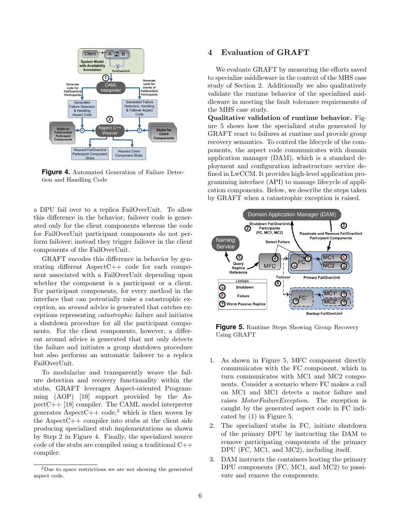

**Figure 4.** Automated Generation of Failure Detection and Handling Code

a DPU fail over to a replica FailOverUnit. To allow this difference in the behavior, failover code is generated only for the client components whereas the code for FailOverUnit participant components do not perform failover; instead they trigger failover in the client components of the FailOverUnit.

GRAFT encodes this difference in behavior by generating different AspectC++ code for each component associated with a FailOverUnit depending upon whether the component is a participant or a client. For participant components, for every method in the interface that can potentially raise a catastrophic exception, an around advice is generated that catches exceptions representing catastrophic failure and initiates a shutdown procedure for all the participant components. For the client components, however, a different around advice is generated that not only detects the failure and initiates a group shutdown procedure but also performs an automatic failover to a replica FailOverUnit.

To modularize and transparently weave the failure detection and recovery functionality within the stubs, GRAFT leverages Aspect-oriented Programming (AOP) [10] support provided by the AspectC++ [18] compiler. The CAML model interpreter generates AspectC++ code,<sup>2</sup> which is then woven by the  $AspectC++$  compiler into stubs at the client side producing specialized stub implementations as shown by Step 2 in Figure 4. Finally, the specialized source code of the stubs are compiled using a traditional C++ compiler.

# 4 Evaluation of GRAFT

We evaluate GRAFT by measuring the efforts saved to specialize middleware in the context of the MHS case study of Section 2. Additionally we also qualitatively validate the runtime behavior of the specialized middleware in meeting the fault tolerance requirements of the MHS case study.

Qualitative validation of runtime behavior. Figure 5 shows how the specialized stubs generated by GRAFT react to failures at runtime and provide group recovery semantics. To control the lifecycle of the components, the aspect code communicates with domain application manager (DAM), which is a standard deployment and configuration infrastructure service defined in LwCCM. It provides high-level application programming interface (API) to manage lifecycle of application components. Below, we describe the steps taken by GRAFT when a catastrophic exception is raised.



**Figure 5.** Runtime Steps Showing Group Recovery Using GRAFT

- 1. As shown in Figure 5, MFC component directly communicates with the FC component, which in turn communicates with MC1 and MC2 components. Consider a scenario where FC makes a call on MC1 and MC1 detects a motor failure and raises MotorFailureException. The exception is caught by the generated aspect code in FC indicated by (1) in Figure 5.
- 2. The specialized stubs in FC, initiate shutdown of the primary DPU by instructing the DAM to remove participating components of the primary DPU (FC, MC1, and MC2), including itself.
- 3. DAM instructs the containers hosting the primary DPU components (FC, MC1, and MC2) to passivate and remove the components.

<sup>2</sup>Due to space restrictions we are not showing the generated aspect code.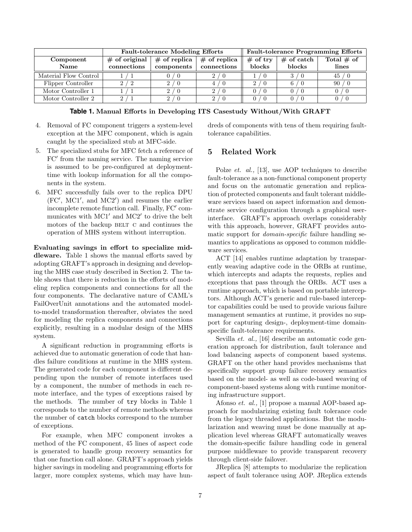|                       | <b>Fault-tolerance Modeling Efforts</b> |                |                | <b>Fault-tolerance Programming Efforts</b> |                                  |               |
|-----------------------|-----------------------------------------|----------------|----------------|--------------------------------------------|----------------------------------|---------------|
| Component             | $#$ of original                         | $#$ of replica | $#$ of replica | $#$ of try                                 | $#$ of catch                     | Total $\#$ of |
| Name                  | connections                             | components     | connections    | blocks                                     | <b>blocks</b>                    | lines         |
| Material Flow Control |                                         | $^{\prime}$ 0  | 70             | 0                                          | 3 <sub>1</sub><br>$^{\prime}$ () | 45/0          |
| Flipper Controller    | ? ⊹<br>$\cdot$ 2                        | $\angle 0$     | $\angle$ 0     | 2/<br>-0                                   | 6 <sub>1</sub><br>$^{\prime}$ () | 90/0          |
| Motor Controller 1    |                                         | $\angle 0$     | $\prime$ 0     | $\Omega$<br>- 0                            | 0 <sub>1</sub><br>$^{\prime}$ () | 0/0           |
| Motor Controller 2    | 2 <sub>1</sub>                          | $\sqrt{0}$     | $\prime$ 0     | -0                                         | 0 <sub>1</sub><br>΄ Ο            | 0/0           |

**Table 1.** Manual Efforts in Developing ITS Casestudy Without/With GRAFT

- 4. Removal of FC component triggers a system-level exception at the MFC component, which is again caught by the specialized stub at MFC-side.
- 5. The specialized stubs for MFC fetch a reference of FC' from the naming service. The naming service is assumed to be pre-configured at deploymenttime with lookup information for all the components in the system.
- 6. MFC successfully fails over to the replica DPU  $(FC', MC1', and MC2')$  and resumes the earlier incomplete remote function call. Finally, FC' communicates with  $MC1'$  and  $MC2'$  to drive the belt motors of the backup BELT C and continues the operation of MHS system without interruption.

Evaluating savings in effort to specialize middleware. Table 1 shows the manual efforts saved by adopting GRAFT's approach in designing and developing the MHS case study described in Section 2. The table shows that there is reduction in the efforts of modeling replica components and connections for all the four components. The declarative nature of CAML's FailOverUnit annotations and the automated modelto-model transformation thereafter, obviates the need for modeling the replica components and connections explicitly, resulting in a modular design of the MHS system.

A significant reduction in programming efforts is achieved due to automatic generation of code that handles failure conditions at runtime in the MHS system. The generated code for each component is different depending upon the number of remote interfaces used by a component, the number of methods in each remote interface, and the types of exceptions raised by the methods. The number of try blocks in Table 1 corresponds to the number of remote methods whereas the number of catch blocks correspond to the number of exceptions.

For example, when MFC component invokes a method of the FC component, 45 lines of aspect code is generated to handle group recovery semantics for that one function call alone. GRAFT's approach yields higher savings in modeling and programming efforts for larger, more complex systems, which may have hundreds of components with tens of them requiring faulttolerance capabilities.

## 5 Related Work

Polze et. al., [13], use AOP techniques to describe fault-tolerance as a non-functional component property and focus on the automatic generation and replication of protected components and fault tolerant middleware services based on aspect information and demonstrate service configuration through a graphical userinterface. GRAFT's approach overlaps considerably with this approach, however, GRAFT provides automatic support for *domain-specific* failure handling semantics to applications as opposed to common middleware services.

ACT [14] enables runtime adaptation by transparently weaving adaptive code in the ORBs at runtime, which intercepts and adapts the requests, replies and exceptions that pass through the ORBs. ACT uses a runtime approach, which is based on portable interceptors. Although ACT's generic and rule-based interceptor capabilities could be used to provide various failure management semantics at runtime, it provides no support for capturing design-, deployment-time domainspecific fault-tolerance requirements.

Sevilla et. al., [16] describe an automatic code generation approach for distribution, fault tolerance and load balancing aspects of component based systems. GRAFT on the other hand provides mechanisms that specifically support group failure recovery semantics based on the model- as well as code-based weaving of component-based systems along with runtime monitoring infrastructure support.

Afonso et. al., [1] propose a manual AOP-based approach for modularizing existing fault tolerance code from the legacy threaded applications. But the modularization and weaving must be done manually at application level whereas GRAFT automatically weaves the domain-specific failure handling code in general purpose middleware to provide transparent recovery through client-side failover.

JReplica [8] attempts to modularize the replication aspect of fault tolerance using AOP. JReplica extends